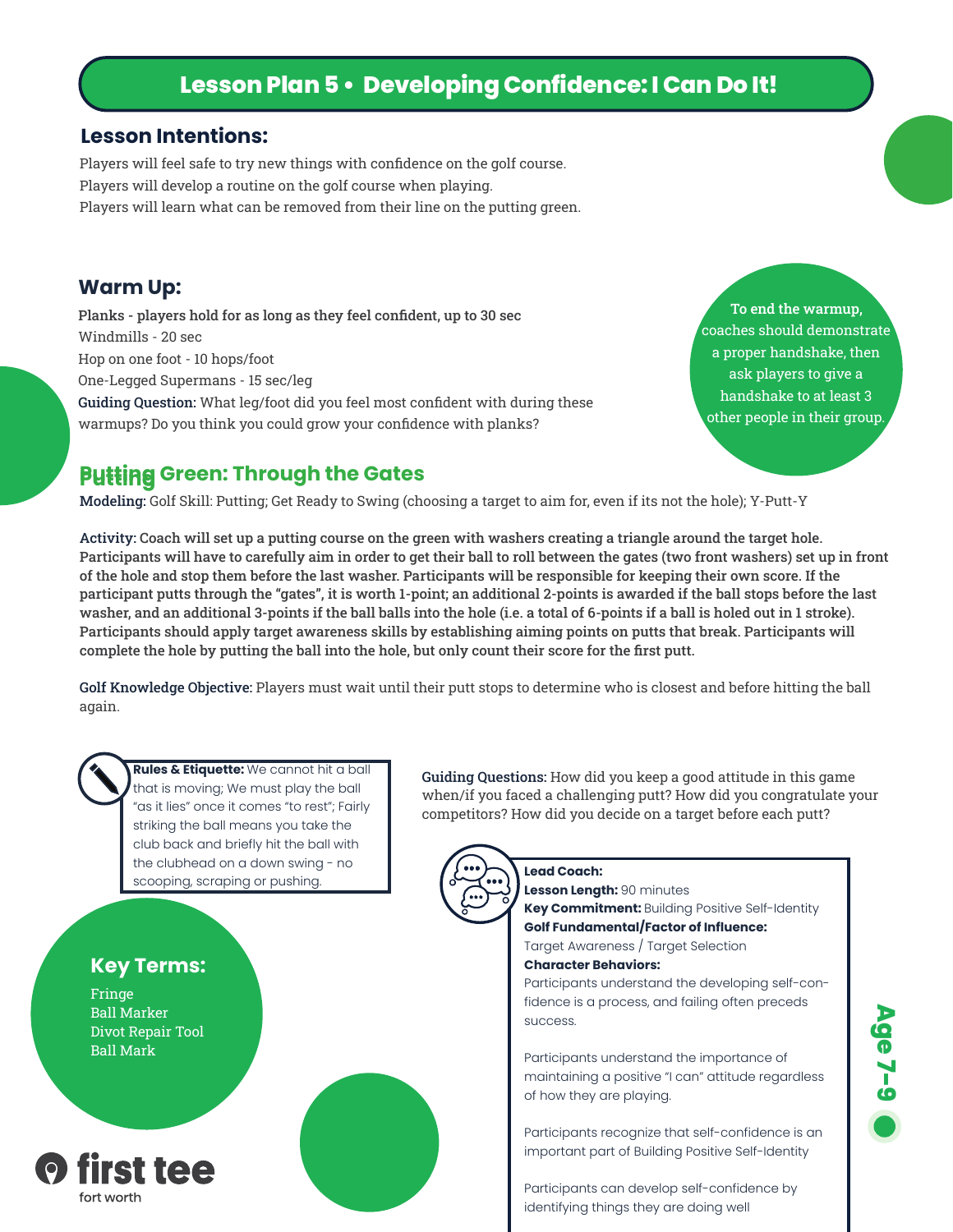# **Lesson Plan 5 • Developing Confidence: I Can Do It!**

#### **Lesson Intentions:**

Players will feel safe to try new things with confidence on the golf course. Players will develop a routine on the golf course when playing. Players will learn what can be removed from their line on the putting green.

#### **Warm Up:**

Planks - players hold for as long as they feel confident, up to 30 sec Windmills - 20 sec Hop on one foot - 10 hops/foot One-Legged Supermans - 15 sec/leg Guiding Question: What leg/foot did you feel most confident with during these warmups? Do you think you could grow your confidence with planks?

To end the warmup, coaches should demonstrate a proper handshake, then ask players to give a handshake to at least 3 other people in their group.

## **Putting Green: Through the Gates**

Modeling: Golf Skill: Putting; Get Ready to Swing (choosing a target to aim for, even if its not the hole); Y-Putt-Y

Activity: Coach will set up a putting course on the green with washers creating a triangle around the target hole. Participants will have to carefully aim in order to get their ball to roll between the gates (two front washers) set up in front of the hole and stop them before the last washer. Participants will be responsible for keeping their own score. If the participant putts through the "gates", it is worth 1-point; an additional 2-points is awarded if the ball stops before the last washer, and an additional 3-points if the ball balls into the hole (i.e. a total of 6-points if a ball is holed out in 1 stroke). Participants should apply target awareness skills by establishing aiming points on putts that break. Participants will complete the hole by putting the ball into the hole, but only count their score for the first putt.

Golf Knowledge Objective: Players must wait until their putt stops to determine who is closest and before hitting the ball again.



**Rules & Etiquette:** We cannot hit a ball that is moving; We must play the ball "as it lies" once it comes "to rest"; Fairly striking the ball means you take the club back and briefly hit the ball with the clubhead on a down swing - no scooping, scraping or pushing.

## **Key Terms:**

Fringe Ball Marker Divot Repair Tool Ball Mark



Guiding Questions: How did you keep a good attitude in this game when/if you faced a challenging putt? How did you congratulate your competitors? How did you decide on a target before each putt?



#### **Lead Coach: Lesson Length:** 90 minutes

**Key Commitment:** Building Positive Self-Identity **Golf Fundamental/Factor of Influence:** 

### Target Awareness / Target Selection

#### **Character Behaviors:**

Participants understand the developing self-confidence is a process, and failing often preceds success.

Participants understand the importance of maintaining a positive "I can" attitude regardless of how they are playing.

Participants recognize that self-confidence is an important part of Building Positive Self-Identity

Participants can develop self-confidence by identifying things they are doing well